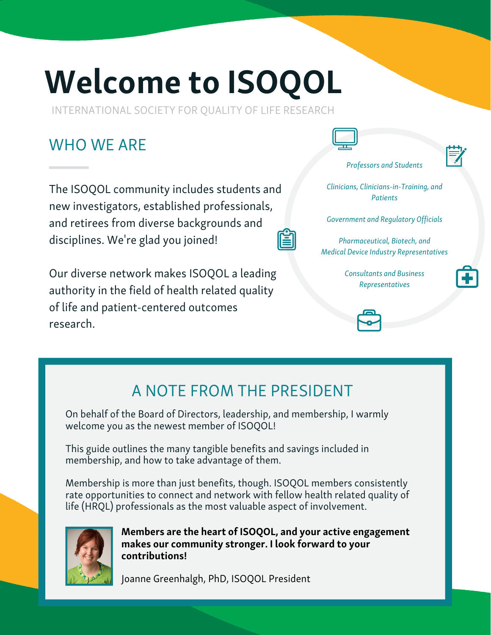# Welcome to ISOQOL

INTERNATIONAL SOCIETY FOR QUALITY OF LIFE RESEARCH

## WHO WF ARF

The ISOQOL community includes students and new investigators, established professionals, and retirees from diverse backgrounds and disciplines. We're glad you joined!

Our diverse network makes ISOQOL a leading authority in the field of health related quality of life and patient-centered outcomes research.



Professors and Students



Clinicians, Clinicians-in-Training, and **Patients** 

Government and Regulatory Officials

Pharmaceutical, Biotech, and Medical Device Industry Representatives

> Consultants and Business Representatives



A NOTE FROM THE PRESIDENT

On behalf of the Board of Directors, leadership, and membership, I warmly welcome you as the newest member of ISOQOL!

This guide outlines the many tangible benefits and savings included in membership, and how to take advantage of them.

Membership is more than just benefits, though. ISOQOL members consistently rate opportunities to connect and network with fellow health related quality of life (HRQL) professionals as the most valuable aspect of involvement.



Members are the heart of ISOQOL, and your active engagement makes our community stronger. I look forward to your contributions!

Joanne Greenhalgh, PhD, ISOQOL President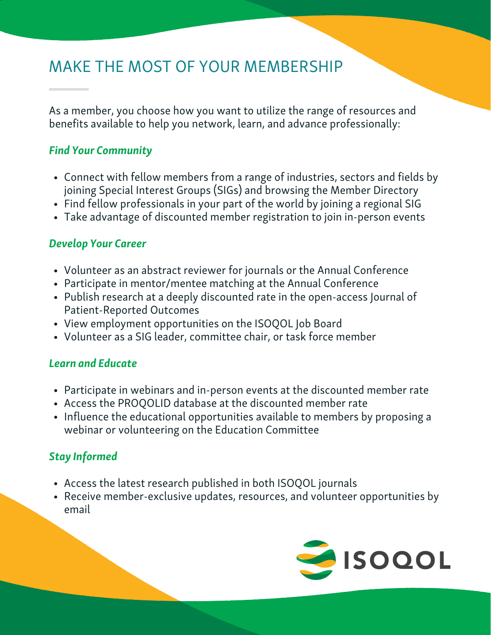## MAKE THE MOST OF YOUR MEMBERSHIP

As a member, you choose how you want to utilize the range of resources and benefits available to help you network, learn, and advance professionally:

#### Find Your Community

- Connect with fellow members from a range of industries, sectors and fields by joining Special Interest Groups (SIGs) and browsing the Member Directory
- Find fellow professionals in your part of the world by joining a regional SIG
- Take advantage of discounted member registration to join in-person events

#### Develop Your Career

- Volunteer as an abstract reviewer for journals or the Annual Conference
- Participate in mentor/mentee matching at the Annual Conference
- Publish research at a deeply discounted rate in the open-access Journal of Patient-Reported Outcomes
- View employment opportunities on the ISOQOL Job Board
- Volunteer as a SIG leader, committee chair, or task force member

#### Learn and Educate

- Participate in webinars and in-person events at the discounted member rate
- Access the PROQOLID database at the discounted member rate
- Influence the educational opportunities available to members by proposing a webinar or volunteering on the Education Committee

### Stay Informed

- Access the latest research published in both ISOQOL journals
- Receive member-exclusive updates, resources, and volunteer opportunities by email

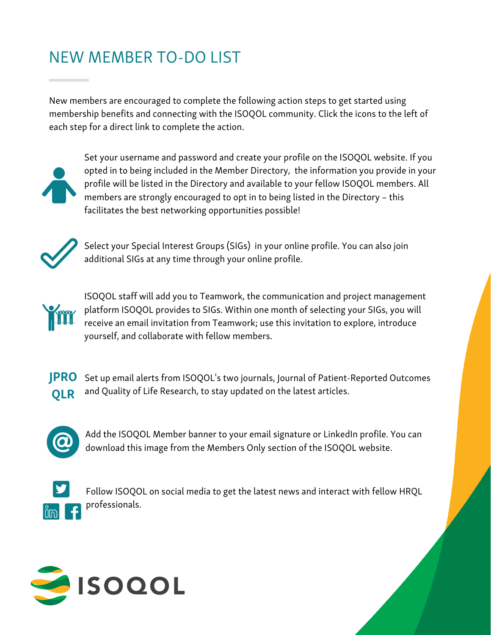## NEW MEMBER TO-DO LIST

New members are encouraged to complete the following action steps to get started using membership benefits and connecting with the ISOQOL community. Click the icons to the left of each step for a direct link to complete the action.



Set your username and password and create your profile on the ISOQOL website. If you opted in to being included in the Member Directory, the information you provide in your profile will be listed in the Directory and available to your fellow ISOQOL members. All members are strongly encouraged to opt in to being listed in the Directory – this facilitates the best networking [opportunities](http://isoqol.org/) possible!



Select your Special Interest Groups (SIGs) in your online profile. You can also join [additional](https://isoqol.execinc.com/edibo/Login/Default/call) SIGs at any time through your online profile.



ISOQOL staff will add you to Teamwork, the [communication](https://isoqol.execinc.com/edibo/Login/Default/call) and project management platform ISOQOL provides to SIGs. Within one month of selecting your SIGs, you will receive an email invitation from Teamwork; use this invitation to explore, introduce yourself, and collaborate with fellow members.



Set up email alerts from ISOQOL's two journals, Journal of [Patient-Reported](https://isoqol.execinc.com/edibo/Login/Default/call) Outcomes and Quality of Life Research, to stay updated on the latest articles.



Add the ISOQOL Member banner to your email signature or LinkedIn profile. You can [download](https://isoqol.execinc.com/edibo/Login/Default/call) this image from the Members Only section of the ISOQOL website.



Follow ISOQOL on social media to get the latest news and interact with fellow HRQL professionals.